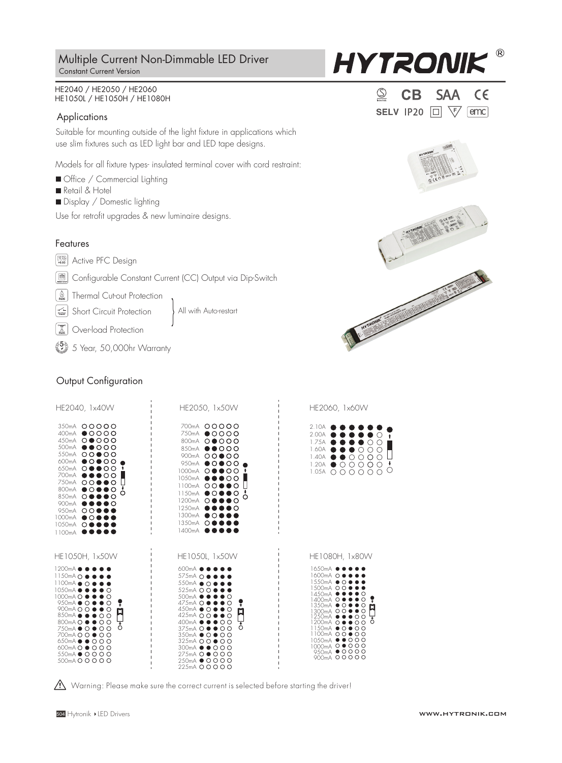## Constant Current Version Multiple Current Non-Dimmable LED Driver

#### HE2040 / HE2050 / HE2060 HE1050L / HE1050H / HE1080H

#### **Applications**

Suitable for mounting outside of the light fixture in applications which use slim fixtures such as LED light bar and LED tape designs.

Models for all fixture types- insulated terminal cover with cord restraint:

- Office / Commercial Lighting
- Retail & Hotel
- Display / Domestic lighting

Use for retrofit upgrades & new luminaire designs.

## Features

**>0.93** Active PFC Design

**ED** Configurable Constant Current (CC) Output via Dip-Switch

All with Auto-restart

*Nell Thermal Cut-out Protection* 

Short Circuit Protection

**E** Over-load Protection

 $\binom{5}{2}$  5 Year, 50,000hr Warranty

## Output Configuration

| HE2040, 1x40W                                                                                                                                                                                                                                                                                                                                                                                              | HE2050, 1x50W                                                                                                                                                                                                                                                                                                                                                                                         | HE2060, 1x60W                                                                                                                                                                                                                                                             |  |  |
|------------------------------------------------------------------------------------------------------------------------------------------------------------------------------------------------------------------------------------------------------------------------------------------------------------------------------------------------------------------------------------------------------------|-------------------------------------------------------------------------------------------------------------------------------------------------------------------------------------------------------------------------------------------------------------------------------------------------------------------------------------------------------------------------------------------------------|---------------------------------------------------------------------------------------------------------------------------------------------------------------------------------------------------------------------------------------------------------------------------|--|--|
| 350mA 00000<br>400mA ● ○ ○ ○ ○<br>450mA 00000<br>500mA<br>$\bullet\bullet\circ\circ\circ$<br>550mA 00000<br>600mA<br>$\bullet$ $\circ\bullet$ $\circ\circ$<br>650mA<br>$\circ$<br>8.<br>۰<br>700mA<br>$\circ$<br>750mA<br>ററ●●റ<br>800mA<br>$\bullet$ $\circ$ (<br>O<br>О<br>850mA<br>O+<br>ю<br>900 <sub>m</sub> A<br>950mA OO<br>1000mA<br>$\bullet$ $\circ$ (<br>1050mA<br>$\circ\bullet$<br>1100mA<br> | 700mA 00000<br>750mA ● ○ ○ ○ ○<br>$\circ \bullet \circ \circ \circ$<br>800mA<br>850mA ●●○○○<br>900mA<br>00000<br>$\bullet$ $\circ$ $\bullet$ $\circ$ $\circ$<br>950mA<br>1000mA<br>$\circ \bullet \bullet \circ \circ$<br>1050mA<br>$\bullet\bullet\circ\circ$<br>1100mA<br>$\overline{O}$<br>DO<br>1150mA<br>∎∩ਾ<br>O<br>∩<br>1200mA<br>ю<br>1250mA<br>1300mA<br>$\left($ )<br>1350mA<br>∩<br>1400mA | 2.10A<br>2.00A<br>1.75A<br>1.60A<br>C<br>1.40A<br>C<br>( )<br>1.20A<br>Ω<br>∩<br>1.05A<br>∩<br>∩<br>()                                                                                                                                                                    |  |  |
| HE1050H, 1x50W                                                                                                                                                                                                                                                                                                                                                                                             | HE1050L, 1x50W                                                                                                                                                                                                                                                                                                                                                                                        | HE1080H, 1x80W                                                                                                                                                                                                                                                            |  |  |
| 1200mA<br>1150 $m$ A $\Omega$<br>$1100mA$ $\bullet$ $\bullet$<br>1050mA ● 6<br>$1000mA$ $O$ $\bullet$ $\bullet$<br>950mA ● ○ ● ● ○<br>900mA <b>O O @ @ O</b><br>Ŋ<br>850mA ● ● ● ○ ○<br>800mA <b>O @ @ O O</b><br>ο<br>750mA ● 0 ● 0 0<br>700mA <b>O O ● O O</b><br>650mA $\bullet$ 000<br>600mA <b>O</b> ● <b>O O O</b><br>550mA ● 0000<br>500mA Q Q Q Q Q                                                | 600mA (<br>575mA O ●<br>$550mA \bullet Q$<br>525mA O O ●<br>$500mA$ $\bullet$ (<br>O<br>475mA O ● ● ●<br>$\circ$<br>450mA ● 0 ● ● 0<br>N<br>$425mA$ $O$ $O \bullet$ $O$<br>400mA ● ● ● ○ ○<br>Ó<br>375mA O ● ● O O<br>350mA ● 0 ● 0 0<br>325mA 00000<br>300mA ● ● ○ ○ ○<br>275mA O ● O O O<br>250mA ● 0000<br>225mA 00000                                                                             | 1650mA (<br>1600mA O (<br>1550mA $\bullet$ O<br>1500mA 00<br>14.50mA<br>1400mA O<br>13.50mA (<br>DО<br>$\bullet$ O<br>1300mA O O ●<br>1250mA<br>oο<br>oο<br>1200mA O ●<br>1150mA ● 0 ● 0 0<br>1100mA 00●00<br>1050mA ●●○○○<br>1000mA 00000<br>950mA ● 0000<br>900mA 00000 |  |  |

 $\bigwedge$  Warning: Please make sure the correct current is selected before starting the driver!











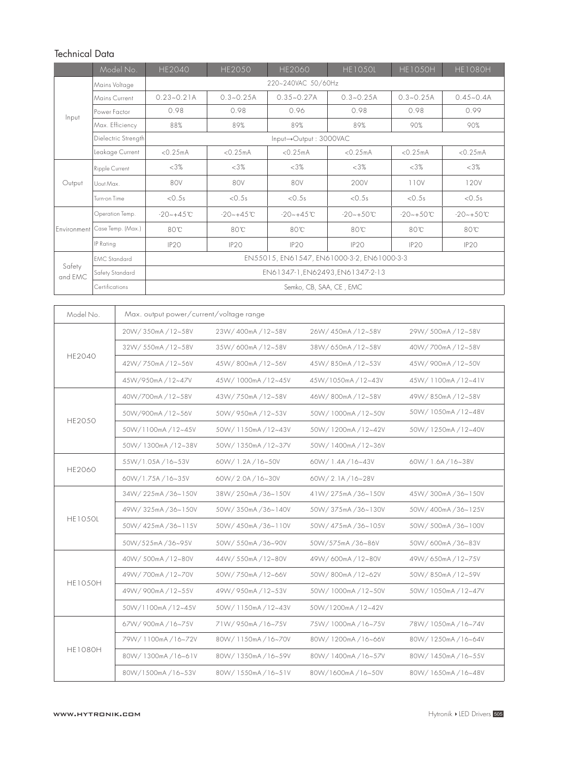# Technical Data

|                   | Model No.                     | <b>HE2040</b>                              | <b>HE2050</b>    | HE2060          | <b>HE1050L</b>   | <b>HE1050H</b> | <b>HE1080H</b> |  |  |
|-------------------|-------------------------------|--------------------------------------------|------------------|-----------------|------------------|----------------|----------------|--|--|
| Input             | Mains Voltage                 | 220~240VAC 50/60Hz                         |                  |                 |                  |                |                |  |  |
|                   | Mains Current                 | $0.23 - 0.21A$                             | $0.3 - 0.25A$    | $0.35 - 0.27A$  | $0.3 - 0.25A$    | $0.3 - 0.25A$  | $0.45 - 0.4A$  |  |  |
|                   | Power Factor                  | 0.98                                       | 0.98             | 0.96            | 0.98             | 0.98           | 0.99           |  |  |
|                   | Max. Efficiency               | 88%                                        | 89%              | 89%             | 89%              | 90%            | 90%            |  |  |
|                   | Dielectric Strength           | Input->Output: 3000VAC                     |                  |                 |                  |                |                |  |  |
|                   | Leakage Current               | < 0.25mA                                   | < 0.25mA         | < 0.25mA        | < 0.25mA         | < 0.25mA       | < 0.25mA       |  |  |
| Output            | Ripple Current                | $<3\%$                                     | $<3\%$           | <3%             | <3%              | $<3\%$         | <3%            |  |  |
|                   | Uout Max                      | 80V                                        | 80V              | 80V             | 200V             | 110V           | 120V           |  |  |
|                   | Turn-on Time                  | < 0.5s                                     | < 0.5s           | < 0.5s          | < 0.5s           | < 0.5s         | < 0.5s         |  |  |
|                   | Operation Temp.               | $-20 - +4.5$ °C                            | $-20 - +4.5$ °C  | $-20 - +4.5$ °C | $-20 - +50$ °C   | $-20 - +50$ °C | $-20 - +50$ °C |  |  |
|                   | Environment Case Temp. (Max.) | 80°C                                       | 80°C             | $80^{\circ}$ C  | 80°C             | 80°C           | 80°C           |  |  |
|                   | IP Rating                     | IP <sub>20</sub>                           | IP <sub>20</sub> | IP2O            | IP <sub>20</sub> | IP2O           | IP2O           |  |  |
|                   | <b>EMC</b> Standard           | EN55015, EN61547, EN61000-3-2, EN61000-3-3 |                  |                 |                  |                |                |  |  |
| Safety<br>and EMC | Safety Standard               | EN61347-1, EN62493, EN61347-2-13           |                  |                 |                  |                |                |  |  |
|                   | Certifications                | Semko, CB, SAA, CE, EMC                    |                  |                 |                  |                |                |  |  |

| Model No.      | Max. output power/current/voltage range |                    |                    |                    |  |  |  |
|----------------|-----------------------------------------|--------------------|--------------------|--------------------|--|--|--|
| <b>HE2040</b>  | 20W/350mA/12~58V                        | 23W/400mA/12~58V   | 26W/450mA/12~58V   | 29W/500mA/12~58V   |  |  |  |
|                | 32W/550mA/12~58V                        | 35W/600mA/12~58V   | 38W/650mA/12~58V   | 40W/700mA/12~58V   |  |  |  |
|                | 42W/750mA/12~56V                        | 45W/800mA/12~56V   | 45W/850mA/12~53V   | 45W/900mA/12~50V   |  |  |  |
|                | 45W/950mA/12~47V                        | 45W/1000mA/12~45V  | 45W/1050mA/12~43V  | 45W/1100mA/12~41V  |  |  |  |
|                | 40W/700mA/12~58V                        | 43W/750mA/12~58V   | 46W/800mA/12~58V   | 49W/850mA/12~58V   |  |  |  |
|                | 50W/900mA/12~56V                        | 50W/950mA/12~53V   | 50W/1000mA/12~50V  | 50W/1050mA/12~48V  |  |  |  |
| <b>HE2050</b>  | 50W/1100mA/12~45V                       | 50W/1150mA/12~43V  | 50W/1200mA/12~42V  | 50W/1250mA/12~40V  |  |  |  |
|                | 50W/1300mA/12~38V                       | 50W/1350mA/12~37V  | 50W/1400mA/12~36V  |                    |  |  |  |
| HE2060         | 55W/1.05A/16~53V                        | 60W/1.2A/16~50V    | 60W/ 1.4A / 16~43V | 60W/ 1.6A / 16~38V |  |  |  |
|                | 60W/1.75A/16~35V                        | 60W/2.0A/16~30V    | 60W/2.1A/16~28V    |                    |  |  |  |
|                | 34W/225mA/36~150V                       | 38W/250mA/36~150V  | 41W/275mA/36~150V  | 45W/300mA/36~150V  |  |  |  |
|                | 49W/325mA/36~150V                       | 50W/350mA/36~140V  | 50W/375mA/36~130V  | 50W/400mA/36~125V  |  |  |  |
| <b>HE1050L</b> | 50W/425mA/36~115V                       | 50W/450mA/36~110V  | 50W/475mA/36~105V  | 50W/500mA/36~100V  |  |  |  |
|                | 50W/525mA/36~95V                        | 50W/ 550mA /36~90V | 50W/575mA/36~86V   | 50W/600mA/36~83V   |  |  |  |
| <b>HE1050H</b> | 40W/500mA/12~80V                        | 44W/550mA/12~80V   | 49W/600mA/12~80V   | 49W/650mA/12~75V   |  |  |  |
|                | 49W/700mA/12~70V                        | 50W/750mA/12~66V   | 50W/800mA/12~62V   | 50W/850mA/12~59V   |  |  |  |
|                | 49W/900mA/12~55V                        | 49W/950mA/12~53V   | 50W/1000mA/12~50V  | 50W/1050mA/12~47V  |  |  |  |
|                | 50W/1100mA/12~45V                       | 50W/1150mA/12~43V  | 50W/1200mA/12~42V  |                    |  |  |  |
|                | 67W/900mA/16~75V                        | 71W/950mA/16~75V   | 75W/1000mA/16~75V  | 78W/1050mA/16~74V  |  |  |  |
|                | 79W/1100mA/16~72V                       | 80W/1150mA/16~70V  | 80W/1200mA/16~66V  | 80W/1250mA/16~64V  |  |  |  |
| <b>HE1080H</b> | 80W/1300mA/16~61V                       | 80W/1350mA/16~59V  | 80W/1400mA/16~57V  | 80W/1450mA/16~55V  |  |  |  |
|                | 80W/1500mA/16~53V                       | 80W/1550mA/16~51V  | 80W/1600mA/16~50V  | 80W/1650mA/16~48V  |  |  |  |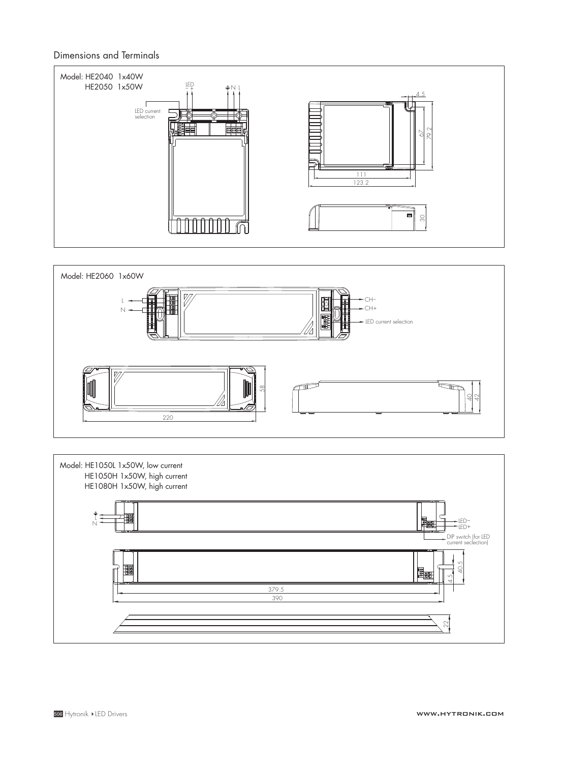#### Dimensions and Terminals





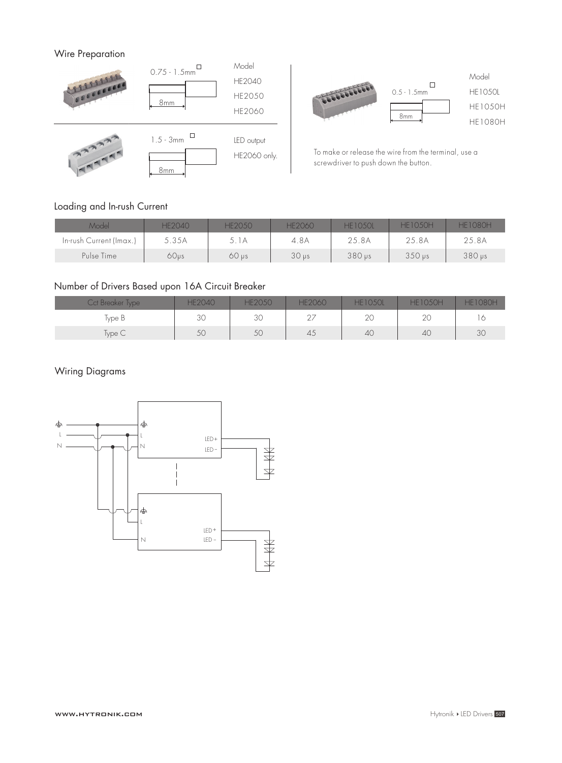### Wire Preparation





To make or release the wire from the terminal, use a screwdriver to push down the button.

## Loading and In-rush Current

| <b>Model</b>            | <b>HF2040</b>    | HF2050       | HF2060           | <b>HF1050L</b>           | <b>HF1050H</b>      | HE1080H       |
|-------------------------|------------------|--------------|------------------|--------------------------|---------------------|---------------|
| In-rush Current (Imax.) | 5.35A            | 5.1A         | 4.8A             | 25.8A                    | 25.8A               | 25.8A         |
| Pulse Time              | 60 <sub>vs</sub> | $60$ $\mu s$ | 30 <sub>ps</sub> | $380 \,\mathrm{\upmu s}$ | $350 \,\mathrm{ps}$ | $380$ $\mu s$ |

### Number of Drivers Based upon 16A Circuit Breaker

| <b>Cct Breaker Type</b> | <b>HE2040</b> | <b>HE2050</b> | <b>HE2060</b> | <b>HE1050L</b> | <b>HE1050H</b> | <b>HF1080H</b> |
|-------------------------|---------------|---------------|---------------|----------------|----------------|----------------|
| Type B                  | 30            | 30            | $\cap$<br>ت   | 2C             | $\cap$<br>ZV   |                |
| Type C                  | 50            | 50            | -45           | 40             | 40             | 3C             |

### Wiring Diagrams

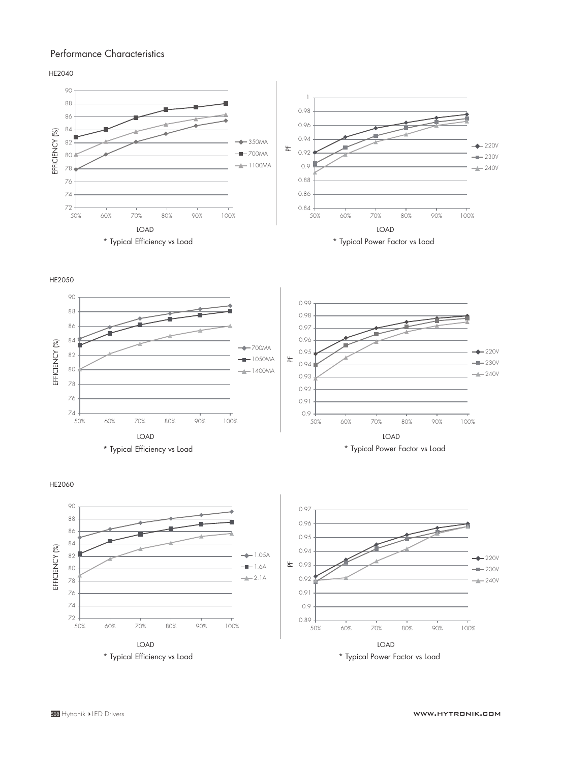#### Performance Characteristics

HE2040



HE2050



HE2060